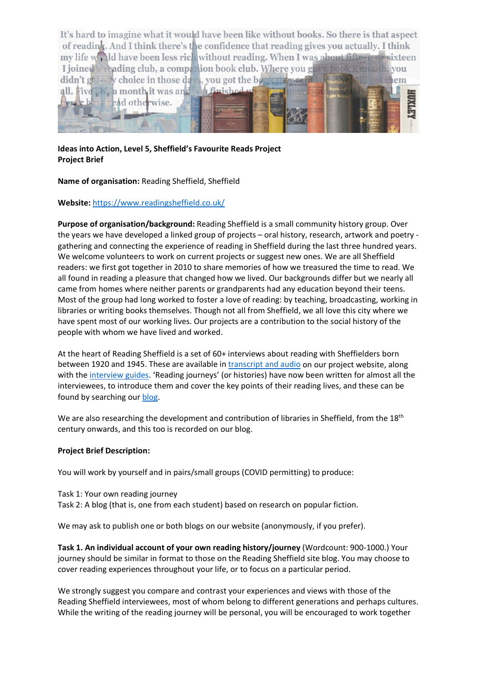

**Ideas into Action, Level 5, Sheffield's Favourite Reads Project Project Brief**

**Name of organisation:** Reading Sheffield, Sheffield

## **Website:** <https://www.readingsheffield.co.uk/>

**Purpose of organisation/background:** Reading Sheffield is a small community history group. Over the years we have developed a linked group of projects – oral history, research, artwork and poetry gathering and connecting the experience of reading in Sheffield during the last three hundred years. We welcome volunteers to work on current projects or suggest new ones. We are all Sheffield readers: we first got together in 2010 to share memories of how we treasured the time to read. We all found in reading a pleasure that changed how we lived. Our backgrounds differ but we nearly all came from homes where neither parents or grandparents had any education beyond their teens. Most of the group had long worked to foster a love of reading: by teaching, broadcasting, working in libraries or writing books themselves. Though not all from Sheffield, we all love this city where we have spent most of our working lives. Our projects are a contribution to the social history of the people with whom we have lived and worked.

At the heart of Reading Sheffield is a set of 60+ interviews about reading with Sheffielders born between 1920 and 1945. These are available in [transcript and audio](https://www.readingsheffield.co.uk/readers-stories-2/) on our project website, along with the [interview guides.](https://www.readingsheffield.co.uk/research/reading-sheffield-interview-prompts/) 'Reading journeys' (or histories) have now been written for almost all the interviewees, to introduce them and cover the key points of their reading lives, and these can be found by searching our [blog.](https://www.readingsheffield.co.uk/blog/)

We are also researching the development and contribution of libraries in Sheffield, from the 18<sup>th</sup> century onwards, and this too is recorded on our blog.

## **Project Brief Description:**

You will work by yourself and in pairs/small groups (COVID permitting) to produce:

- Task 1: Your own reading journey
- Task 2: A blog (that is, one from each student) based on research on popular fiction.

We may ask to publish one or both blogs on our website (anonymously, if you prefer).

**Task 1. An individual account of your own reading history/journey** (Wordcount: 900-1000.) Your journey should be similar in format to those on the Reading Sheffield site blog. You may choose to cover reading experiences throughout your life, or to focus on a particular period.

We strongly suggest you compare and contrast your experiences and views with those of the Reading Sheffield interviewees, most of whom belong to different generations and perhaps cultures. While the writing of the reading journey will be personal, you will be encouraged to work together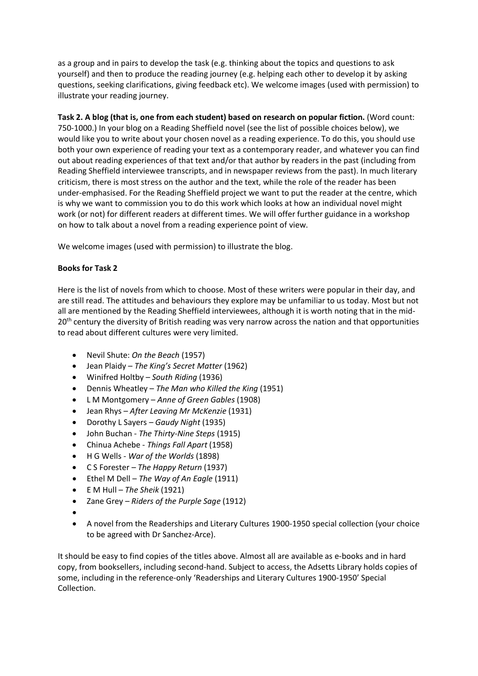as a group and in pairs to develop the task (e.g. thinking about the topics and questions to ask yourself) and then to produce the reading journey (e.g. helping each other to develop it by asking questions, seeking clarifications, giving feedback etc). We welcome images (used with permission) to illustrate your reading journey.

**Task 2. A blog (that is, one from each student) based on research on popular fiction.** (Word count: 750-1000.) In your blog on a Reading Sheffield novel (see the list of possible choices below), we would like you to write about your chosen novel as a reading experience. To do this, you should use both your own experience of reading your text as a contemporary reader, and whatever you can find out about reading experiences of that text and/or that author by readers in the past (including from Reading Sheffield interviewee transcripts, and in newspaper reviews from the past). In much literary criticism, there is most stress on the author and the text, while the role of the reader has been under-emphasised. For the Reading Sheffield project we want to put the reader at the centre, which is why we want to commission you to do this work which looks at how an individual novel might work (or not) for different readers at different times. We will offer further guidance in a workshop on how to talk about a novel from a reading experience point of view.

We welcome images (used with permission) to illustrate the blog.

## **Books for Task 2**

Here is the list of novels from which to choose. Most of these writers were popular in their day, and are still read. The attitudes and behaviours they explore may be unfamiliar to us today. Most but not all are mentioned by the Reading Sheffield interviewees, although it is worth noting that in the mid-20<sup>th</sup> century the diversity of British reading was very narrow across the nation and that opportunities to read about different cultures were very limited.

- Nevil Shute: *On the Beach* (1957)
- Jean Plaidy *The King's Secret Matter* (1962)
- Winifred Holtby *South Riding* (1936)
- Dennis Wheatley *The Man who Killed the King* (1951)
- L M Montgomery *Anne of Green Gables* (1908)
- Jean Rhys *After Leaving Mr McKenzie* (1931)
- Dorothy L Sayers *Gaudy Night* (1935)
- John Buchan *The Thirty-Nine Steps* (1915)
- Chinua Achebe *Things Fall Apart* (1958)
- H G Wells *War of the Worlds* (1898)
- C S Forester *The Happy Return* (1937)
- Ethel M Dell *The Way of An Eagle* (1911)
- E M Hull *The Sheik* (1921)
- Zane Grey *Riders of the Purple Sage* (1912)
- •
- A novel from the Readerships and Literary Cultures 1900-1950 special collection (your choice to be agreed with Dr Sanchez-Arce).

It should be easy to find copies of the titles above. Almost all are available as e-books and in hard copy, from booksellers, including second-hand. Subject to access, the Adsetts Library holds copies of some, including in the reference-only 'Readerships and Literary Cultures 1900-1950' Special Collection.